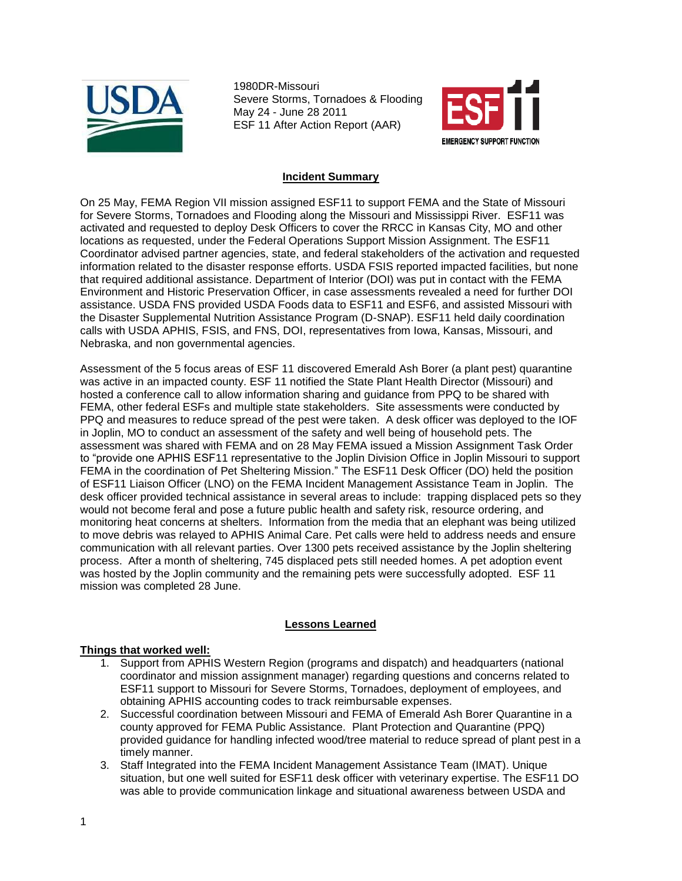

1980DR-Missouri Severe Storms, Tornadoes & Flooding May 24 - June 28 2011 ESF 11 After Action Report (AAR)



## **Incident Summary**

On 25 May, FEMA Region VII mission assigned ESF11 to support FEMA and the State of Missouri for Severe Storms, Tornadoes and Flooding along the Missouri and Mississippi River. ESF11 was activated and requested to deploy Desk Officers to cover the RRCC in Kansas City, MO and other locations as requested, under the Federal Operations Support Mission Assignment. The ESF11 Coordinator advised partner agencies, state, and federal stakeholders of the activation and requested information related to the disaster response efforts. USDA FSIS reported impacted facilities, but none that required additional assistance. Department of Interior (DOI) was put in contact with the FEMA Environment and Historic Preservation Officer, in case assessments revealed a need for further DOI assistance. USDA FNS provided USDA Foods data to ESF11 and ESF6, and assisted Missouri with the Disaster Supplemental Nutrition Assistance Program (D-SNAP). ESF11 held daily coordination calls with USDA APHIS, FSIS, and FNS, DOI, representatives from Iowa, Kansas, Missouri, and Nebraska, and non governmental agencies.

Assessment of the 5 focus areas of ESF 11 discovered Emerald Ash Borer (a plant pest) quarantine was active in an impacted county. ESF 11 notified the State Plant Health Director (Missouri) and hosted a conference call to allow information sharing and guidance from PPQ to be shared with FEMA, other federal ESFs and multiple state stakeholders. Site assessments were conducted by PPQ and measures to reduce spread of the pest were taken. A desk officer was deployed to the IOF in Joplin, MO to conduct an assessment of the safety and well being of household pets. The assessment was shared with FEMA and on 28 May FEMA issued a Mission Assignment Task Order to "provide one APHIS ESF11 representative to the Joplin Division Office in Joplin Missouri to support FEMA in the coordination of Pet Sheltering Mission." The ESF11 Desk Officer (DO) held the position of ESF11 Liaison Officer (LNO) on the FEMA Incident Management Assistance Team in Joplin. The desk officer provided technical assistance in several areas to include: trapping displaced pets so they would not become feral and pose a future public health and safety risk, resource ordering, and monitoring heat concerns at shelters. Information from the media that an elephant was being utilized to move debris was relayed to APHIS Animal Care. Pet calls were held to address needs and ensure communication with all relevant parties. Over 1300 pets received assistance by the Joplin sheltering process. After a month of sheltering, 745 displaced pets still needed homes. A pet adoption event was hosted by the Joplin community and the remaining pets were successfully adopted. ESF 11 mission was completed 28 June.

## **Lessons Learned**

## **Things that worked well:**

- 1. Support from APHIS Western Region (programs and dispatch) and headquarters (national coordinator and mission assignment manager) regarding questions and concerns related to ESF11 support to Missouri for Severe Storms, Tornadoes, deployment of employees, and obtaining APHIS accounting codes to track reimbursable expenses.
- 2. Successful coordination between Missouri and FEMA of Emerald Ash Borer Quarantine in a county approved for FEMA Public Assistance. Plant Protection and Quarantine (PPQ) provided guidance for handling infected wood/tree material to reduce spread of plant pest in a timely manner.
- 3. Staff Integrated into the FEMA Incident Management Assistance Team (IMAT). Unique situation, but one well suited for ESF11 desk officer with veterinary expertise. The ESF11 DO was able to provide communication linkage and situational awareness between USDA and